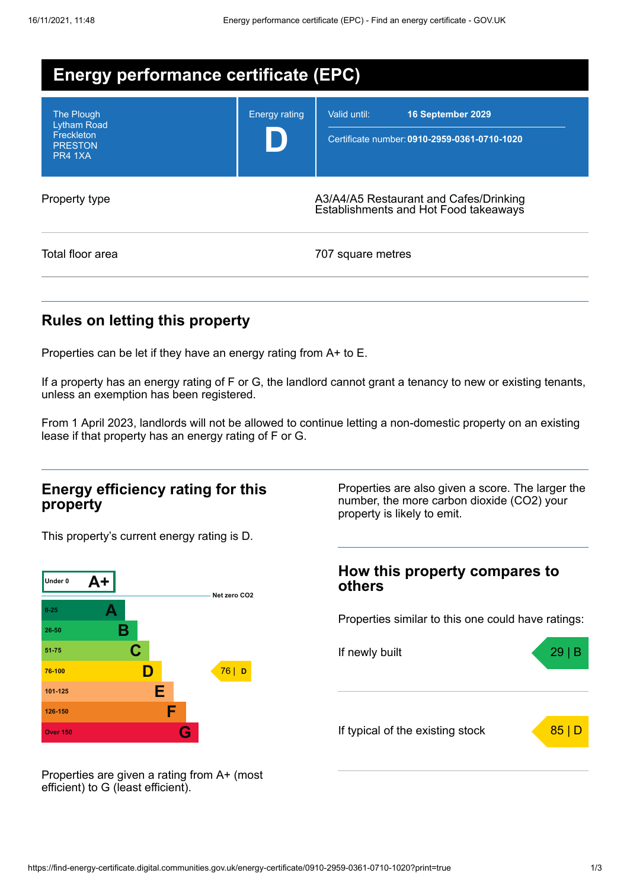| Energy performance certificate (EPC)                                               |                      |                                                                                   |  |  |
|------------------------------------------------------------------------------------|----------------------|-----------------------------------------------------------------------------------|--|--|
| The Plough<br><b>Lytham Road</b><br>Freckleton<br><b>PRESTON</b><br><b>PR4 1XA</b> | <b>Energy rating</b> | Valid until:<br>16 September 2029<br>Certificate number: 0910-2959-0361-0710-1020 |  |  |
| Property type                                                                      |                      | A3/A4/A5 Restaurant and Cafes/Drinking<br>Establishments and Hot Food takeaways   |  |  |
| Total floor area                                                                   |                      | 707 square metres                                                                 |  |  |

## **Rules on letting this property**

Properties can be let if they have an energy rating from A+ to E.

If a property has an energy rating of F or G, the landlord cannot grant a tenancy to new or existing tenants, unless an exemption has been registered.

From 1 April 2023, landlords will not be allowed to continue letting a non-domestic property on an existing lease if that property has an energy rating of F or G.

### **Energy efficiency rating for this property**

This property's current energy rating is D.



Properties are also given a score. The larger the number, the more carbon dioxide (CO2) your property is likely to emit.

### **How this property compares to others**

Properties similar to this one could have ratings:



Properties are given a rating from A+ (most efficient) to G (least efficient).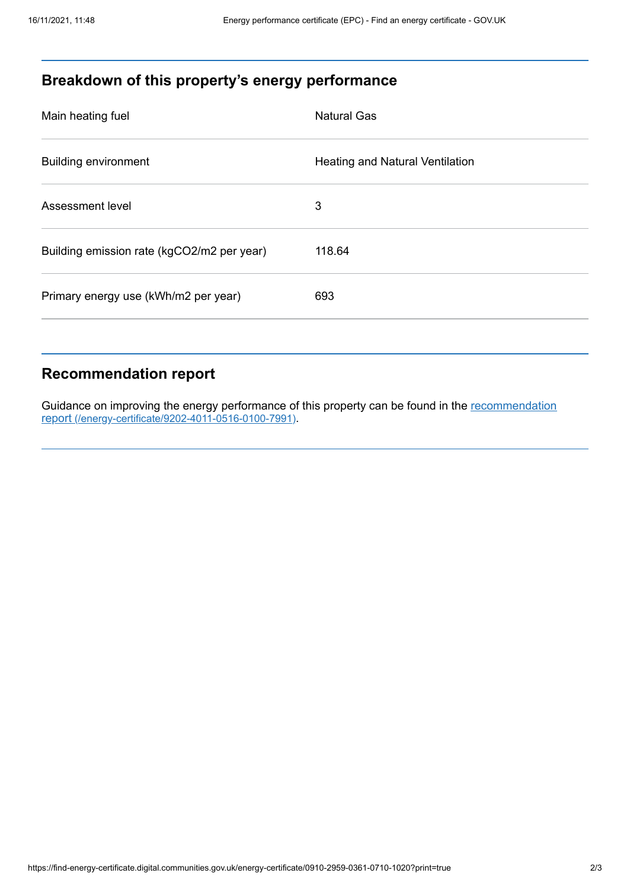# **Breakdown of this property's energy performance**

| Main heating fuel                          | <b>Natural Gas</b>                     |
|--------------------------------------------|----------------------------------------|
| <b>Building environment</b>                | <b>Heating and Natural Ventilation</b> |
| Assessment level                           | 3                                      |
| Building emission rate (kgCO2/m2 per year) | 118.64                                 |
| Primary energy use (kWh/m2 per year)       | 693                                    |
|                                            |                                        |

# **Recommendation report**

Guidance on improving the energy performance of this property can be found in the recommendation report [\(/energy-certificate/9202-4011-0516-0100-7991\)](https://find-energy-certificate.digital.communities.gov.uk/energy-certificate/9202-4011-0516-0100-7991).